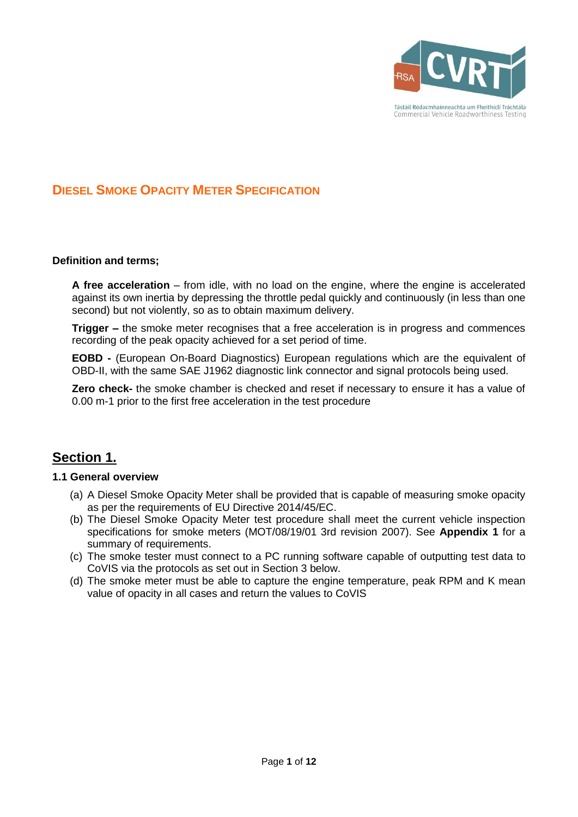

## **DIESEL SMOKE OPACITY METER SPECIFICATION**

#### **Definition and terms;**

**A free acceleration** – from idle, with no load on the engine, where the engine is accelerated against its own inertia by depressing the throttle pedal quickly and continuously (in less than one second) but not violently, so as to obtain maximum delivery.

**Trigger –** the smoke meter recognises that a free acceleration is in progress and commences recording of the peak opacity achieved for a set period of time.

**EOBD -** (European On-Board Diagnostics) European regulations which are the equivalent of OBD-II, with the same SAE J1962 diagnostic link connector and signal protocols being used.

**Zero check-** the smoke chamber is checked and reset if necessary to ensure it has a value of 0.00 m-1 prior to the first free acceleration in the test procedure

## **Section 1.**

#### **1.1 General overview**

- (a) A Diesel Smoke Opacity Meter shall be provided that is capable of measuring smoke opacity as per the requirements of EU Directive 2014/45/EC.
- (b) The Diesel Smoke Opacity Meter test procedure shall meet the current vehicle inspection specifications for smoke meters (MOT/08/19/01 3rd revision 2007). See **Appendix 1** for a summary of requirements.
- (c) The smoke tester must connect to a PC running software capable of outputting test data to CoVIS via the protocols as set out in Section 3 below.
- (d) The smoke meter must be able to capture the engine temperature, peak RPM and K mean value of opacity in all cases and return the values to CoVIS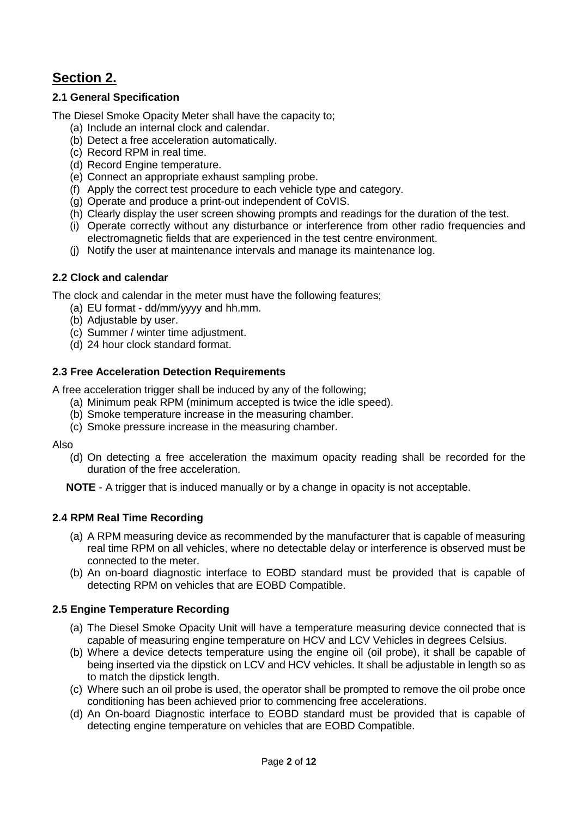# **Section 2.**

### **2.1 General Specification**

The Diesel Smoke Opacity Meter shall have the capacity to;

- (a) Include an internal clock and calendar.
- (b) Detect a free acceleration automatically.
- (c) Record RPM in real time.
- (d) Record Engine temperature.
- (e) Connect an appropriate exhaust sampling probe.
- (f) Apply the correct test procedure to each vehicle type and category.
- (g) Operate and produce a print-out independent of CoVIS.
- (h) Clearly display the user screen showing prompts and readings for the duration of the test.
- (i) Operate correctly without any disturbance or interference from other radio frequencies and electromagnetic fields that are experienced in the test centre environment.
- (j) Notify the user at maintenance intervals and manage its maintenance log.

### **2.2 Clock and calendar**

The clock and calendar in the meter must have the following features;

- (a) EU format dd/mm/yyyy and hh.mm.
- (b) Adjustable by user.
- (c) Summer / winter time adjustment.
- (d) 24 hour clock standard format.

### **2.3 Free Acceleration Detection Requirements**

A free acceleration trigger shall be induced by any of the following;

- (a) Minimum peak RPM (minimum accepted is twice the idle speed).
- (b) Smoke temperature increase in the measuring chamber.
- (c) Smoke pressure increase in the measuring chamber.

Also

(d) On detecting a free acceleration the maximum opacity reading shall be recorded for the duration of the free acceleration.

**NOTE** - A trigger that is induced manually or by a change in opacity is not acceptable.

### **2.4 RPM Real Time Recording**

- (a) A RPM measuring device as recommended by the manufacturer that is capable of measuring real time RPM on all vehicles, where no detectable delay or interference is observed must be connected to the meter.
- (b) An on-board diagnostic interface to EOBD standard must be provided that is capable of detecting RPM on vehicles that are EOBD Compatible.

### **2.5 Engine Temperature Recording**

- (a) The Diesel Smoke Opacity Unit will have a temperature measuring device connected that is capable of measuring engine temperature on HCV and LCV Vehicles in degrees Celsius.
- (b) Where a device detects temperature using the engine oil (oil probe), it shall be capable of being inserted via the dipstick on LCV and HCV vehicles. It shall be adjustable in length so as to match the dipstick length.
- (c) Where such an oil probe is used, the operator shall be prompted to remove the oil probe once conditioning has been achieved prior to commencing free accelerations.
- (d) An On-board Diagnostic interface to EOBD standard must be provided that is capable of detecting engine temperature on vehicles that are EOBD Compatible.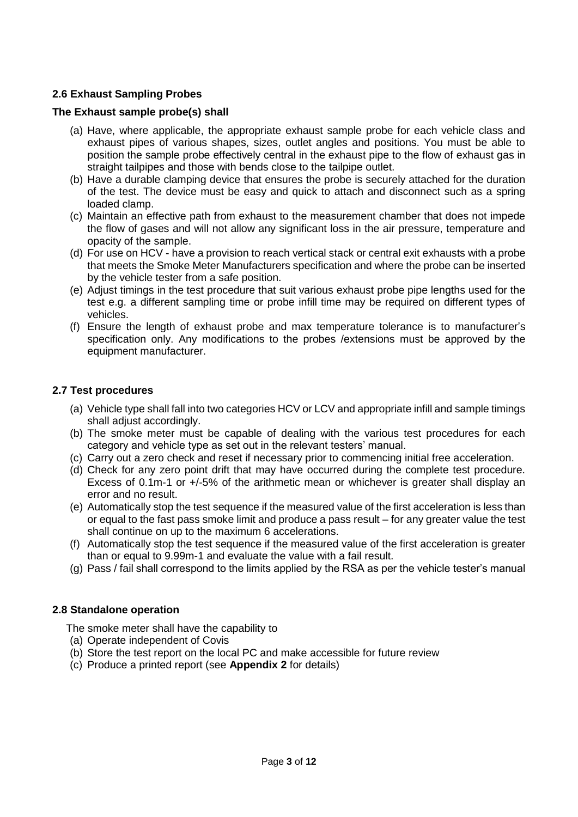### **2.6 Exhaust Sampling Probes**

### **The Exhaust sample probe(s) shall**

- (a) Have, where applicable, the appropriate exhaust sample probe for each vehicle class and exhaust pipes of various shapes, sizes, outlet angles and positions. You must be able to position the sample probe effectively central in the exhaust pipe to the flow of exhaust gas in straight tailpipes and those with bends close to the tailpipe outlet.
- (b) Have a durable clamping device that ensures the probe is securely attached for the duration of the test. The device must be easy and quick to attach and disconnect such as a spring loaded clamp.
- (c) Maintain an effective path from exhaust to the measurement chamber that does not impede the flow of gases and will not allow any significant loss in the air pressure, temperature and opacity of the sample.
- (d) For use on HCV have a provision to reach vertical stack or central exit exhausts with a probe that meets the Smoke Meter Manufacturers specification and where the probe can be inserted by the vehicle tester from a safe position.
- (e) Adjust timings in the test procedure that suit various exhaust probe pipe lengths used for the test e.g. a different sampling time or probe infill time may be required on different types of vehicles.
- (f) Ensure the length of exhaust probe and max temperature tolerance is to manufacturer's specification only. Any modifications to the probes /extensions must be approved by the equipment manufacturer.

### **2.7 Test procedures**

- (a) Vehicle type shall fall into two categories HCV or LCV and appropriate infill and sample timings shall adjust accordingly.
- (b) The smoke meter must be capable of dealing with the various test procedures for each category and vehicle type as set out in the relevant testers' manual.
- (c) Carry out a zero check and reset if necessary prior to commencing initial free acceleration.
- (d) Check for any zero point drift that may have occurred during the complete test procedure. Excess of 0.1m-1 or +/-5% of the arithmetic mean or whichever is greater shall display an error and no result.
- (e) Automatically stop the test sequence if the measured value of the first acceleration is less than or equal to the fast pass smoke limit and produce a pass result – for any greater value the test shall continue on up to the maximum 6 accelerations.
- (f) Automatically stop the test sequence if the measured value of the first acceleration is greater than or equal to 9.99m-1 and evaluate the value with a fail result.
- (g) Pass / fail shall correspond to the limits applied by the RSA as per the vehicle tester's manual

### **2.8 Standalone operation**

The smoke meter shall have the capability to

- (a) Operate independent of Covis
- (b) Store the test report on the local PC and make accessible for future review
- (c) Produce a printed report (see **Appendix 2** for details)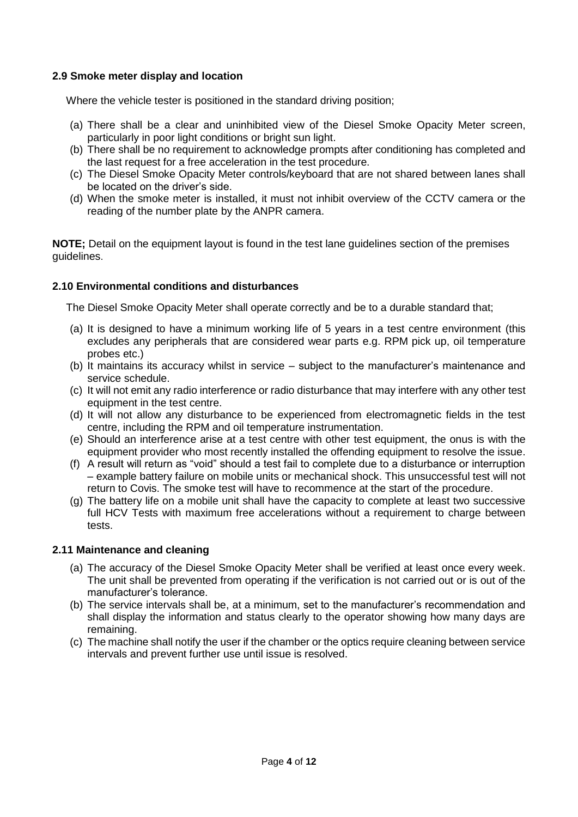### **2.9 Smoke meter display and location**

Where the vehicle tester is positioned in the standard driving position;

- (a) There shall be a clear and uninhibited view of the Diesel Smoke Opacity Meter screen, particularly in poor light conditions or bright sun light.
- (b) There shall be no requirement to acknowledge prompts after conditioning has completed and the last request for a free acceleration in the test procedure.
- (c) The Diesel Smoke Opacity Meter controls/keyboard that are not shared between lanes shall be located on the driver's side.
- (d) When the smoke meter is installed, it must not inhibit overview of the CCTV camera or the reading of the number plate by the ANPR camera.

**NOTE:** Detail on the equipment layout is found in the test lane quidelines section of the premises guidelines.

### **2.10 Environmental conditions and disturbances**

The Diesel Smoke Opacity Meter shall operate correctly and be to a durable standard that;

- (a) It is designed to have a minimum working life of 5 years in a test centre environment (this excludes any peripherals that are considered wear parts e.g. RPM pick up, oil temperature probes etc.)
- (b) It maintains its accuracy whilst in service subject to the manufacturer's maintenance and service schedule.
- (c) It will not emit any radio interference or radio disturbance that may interfere with any other test equipment in the test centre.
- (d) It will not allow any disturbance to be experienced from electromagnetic fields in the test centre, including the RPM and oil temperature instrumentation.
- (e) Should an interference arise at a test centre with other test equipment, the onus is with the equipment provider who most recently installed the offending equipment to resolve the issue.
- (f) A result will return as "void" should a test fail to complete due to a disturbance or interruption – example battery failure on mobile units or mechanical shock. This unsuccessful test will not return to Covis. The smoke test will have to recommence at the start of the procedure.
- (g) The battery life on a mobile unit shall have the capacity to complete at least two successive full HCV Tests with maximum free accelerations without a requirement to charge between tests.

### **2.11 Maintenance and cleaning**

- (a) The accuracy of the Diesel Smoke Opacity Meter shall be verified at least once every week. The unit shall be prevented from operating if the verification is not carried out or is out of the manufacturer's tolerance.
- (b) The service intervals shall be, at a minimum, set to the manufacturer's recommendation and shall display the information and status clearly to the operator showing how many days are remaining.
- (c) The machine shall notify the user if the chamber or the optics require cleaning between service intervals and prevent further use until issue is resolved.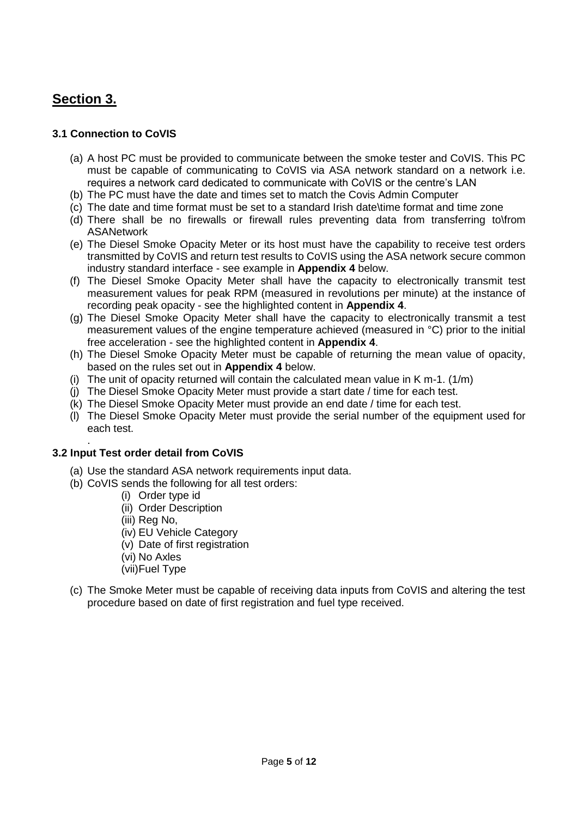# **Section 3.**

### **3.1 Connection to CoVIS**

- (a) A host PC must be provided to communicate between the smoke tester and CoVIS. This PC must be capable of communicating to CoVIS via ASA network standard on a network i.e. requires a network card dedicated to communicate with CoVIS or the centre's LAN
- (b) The PC must have the date and times set to match the Covis Admin Computer
- (c) The date and time format must be set to a standard Irish date\time format and time zone
- (d) There shall be no firewalls or firewall rules preventing data from transferring to\from ASANetwork
- (e) The Diesel Smoke Opacity Meter or its host must have the capability to receive test orders transmitted by CoVIS and return test results to CoVIS using the ASA network secure common industry standard interface - see example in **Appendix 4** below.
- (f) The Diesel Smoke Opacity Meter shall have the capacity to electronically transmit test measurement values for peak RPM (measured in revolutions per minute) at the instance of recording peak opacity - see the highlighted content in **Appendix 4**.
- (g) The Diesel Smoke Opacity Meter shall have the capacity to electronically transmit a test measurement values of the engine temperature achieved (measured in °C) prior to the initial free acceleration - see the highlighted content in **Appendix 4**.
- (h) The Diesel Smoke Opacity Meter must be capable of returning the mean value of opacity, based on the rules set out in **Appendix 4** below.
- (i) The unit of opacity returned will contain the calculated mean value in K m-1.  $(1/m)$
- (j) The Diesel Smoke Opacity Meter must provide a start date / time for each test.
- (k) The Diesel Smoke Opacity Meter must provide an end date / time for each test.
- (l) The Diesel Smoke Opacity Meter must provide the serial number of the equipment used for each test.

#### . **3.2 Input Test order detail from CoVIS**

- (a) Use the standard ASA network requirements input data.
- (b) CoVIS sends the following for all test orders:
	- (i) Order type id
	- (ii) Order Description
	- (iii) Reg No,
	- (iv) EU Vehicle Category
	- (v) Date of first registration
	- (vi) No Axles
	- (vii)Fuel Type
- (c) The Smoke Meter must be capable of receiving data inputs from CoVIS and altering the test procedure based on date of first registration and fuel type received.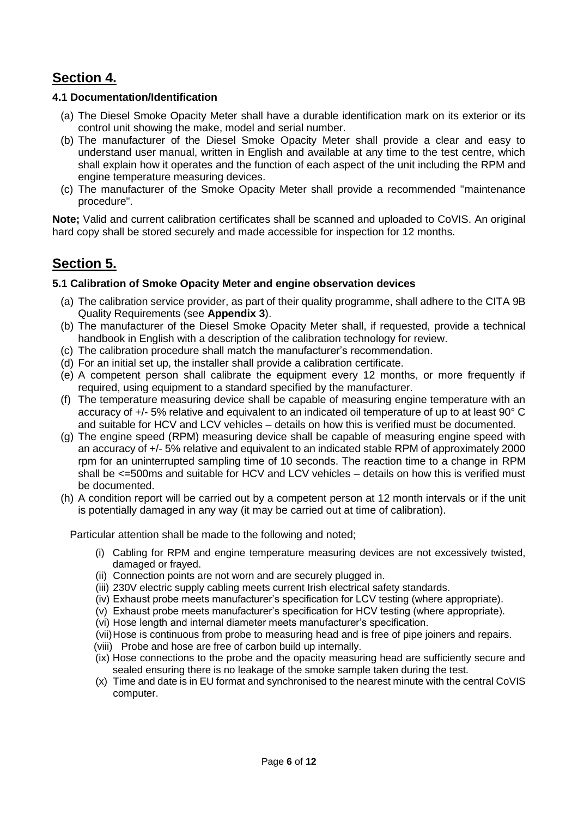# **Section 4.**

### **4.1 Documentation/Identification**

- (a) The Diesel Smoke Opacity Meter shall have a durable identification mark on its exterior or its control unit showing the make, model and serial number.
- (b) The manufacturer of the Diesel Smoke Opacity Meter shall provide a clear and easy to understand user manual, written in English and available at any time to the test centre, which shall explain how it operates and the function of each aspect of the unit including the RPM and engine temperature measuring devices.
- (c) The manufacturer of the Smoke Opacity Meter shall provide a recommended "maintenance procedure".

**Note;** Valid and current calibration certificates shall be scanned and uploaded to CoVIS. An original hard copy shall be stored securely and made accessible for inspection for 12 months.

# **Section 5.**

### **5.1 Calibration of Smoke Opacity Meter and engine observation devices**

- (a) The calibration service provider, as part of their quality programme, shall adhere to the CITA 9B Quality Requirements (see **Appendix 3**).
- (b) The manufacturer of the Diesel Smoke Opacity Meter shall, if requested, provide a technical handbook in English with a description of the calibration technology for review.
- (c) The calibration procedure shall match the manufacturer's recommendation.
- (d) For an initial set up, the installer shall provide a calibration certificate.
- (e) A competent person shall calibrate the equipment every 12 months, or more frequently if required, using equipment to a standard specified by the manufacturer.
- (f) The temperature measuring device shall be capable of measuring engine temperature with an accuracy of +/- 5% relative and equivalent to an indicated oil temperature of up to at least 90° C and suitable for HCV and LCV vehicles – details on how this is verified must be documented.
- (g) The engine speed (RPM) measuring device shall be capable of measuring engine speed with an accuracy of +/- 5% relative and equivalent to an indicated stable RPM of approximately 2000 rpm for an uninterrupted sampling time of 10 seconds. The reaction time to a change in RPM shall be  $\leq$ =500ms and suitable for HCV and LCV vehicles – details on how this is verified must be documented.
- (h) A condition report will be carried out by a competent person at 12 month intervals or if the unit is potentially damaged in any way (it may be carried out at time of calibration).

Particular attention shall be made to the following and noted;

- (i) Cabling for RPM and engine temperature measuring devices are not excessively twisted, damaged or frayed.
- (ii) Connection points are not worn and are securely plugged in.
- (iii) 230V electric supply cabling meets current Irish electrical safety standards.
- (iv) Exhaust probe meets manufacturer's specification for LCV testing (where appropriate).
- (v) Exhaust probe meets manufacturer's specification for HCV testing (where appropriate).
- (vi) Hose length and internal diameter meets manufacturer's specification.
- (vii)Hose is continuous from probe to measuring head and is free of pipe joiners and repairs.
- (viii) Probe and hose are free of carbon build up internally.
- (ix) Hose connections to the probe and the opacity measuring head are sufficiently secure and sealed ensuring there is no leakage of the smoke sample taken during the test.
- (x) Time and date is in EU format and synchronised to the nearest minute with the central CoVIS computer.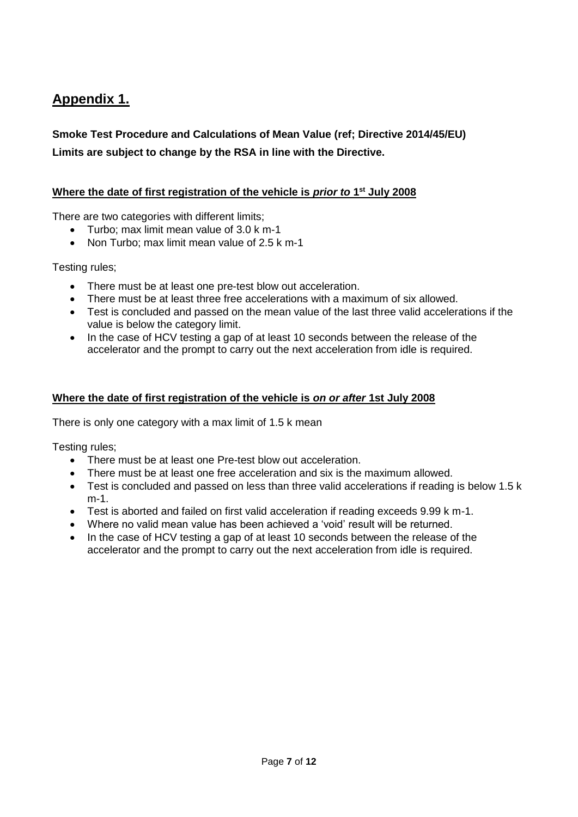# **Appendix 1.**

**Smoke Test Procedure and Calculations of Mean Value (ref; Directive 2014/45/EU) Limits are subject to change by the RSA in line with the Directive.** 

### **Where the date of first registration of the vehicle is** *prior to* **1<sup>st</sup> July 2008**

There are two categories with different limits;

- Turbo; max limit mean value of 3.0 k m-1
- Non Turbo: max limit mean value of 2.5 k m-1

Testing rules;

- There must be at least one pre-test blow out acceleration.
- There must be at least three free accelerations with a maximum of six allowed.
- Test is concluded and passed on the mean value of the last three valid accelerations if the value is below the category limit.
- In the case of HCV testing a gap of at least 10 seconds between the release of the accelerator and the prompt to carry out the next acceleration from idle is required.

### **Where the date of first registration of the vehicle is** *on or after* **1st July 2008**

There is only one category with a max limit of 1.5 k mean

Testing rules;

- There must be at least one Pre-test blow out acceleration.
- There must be at least one free acceleration and six is the maximum allowed.
- Test is concluded and passed on less than three valid accelerations if reading is below 1.5 k m-1.
- Test is aborted and failed on first valid acceleration if reading exceeds 9.99 k m-1.
- Where no valid mean value has been achieved a 'void' result will be returned.
- In the case of HCV testing a gap of at least 10 seconds between the release of the accelerator and the prompt to carry out the next acceleration from idle is required.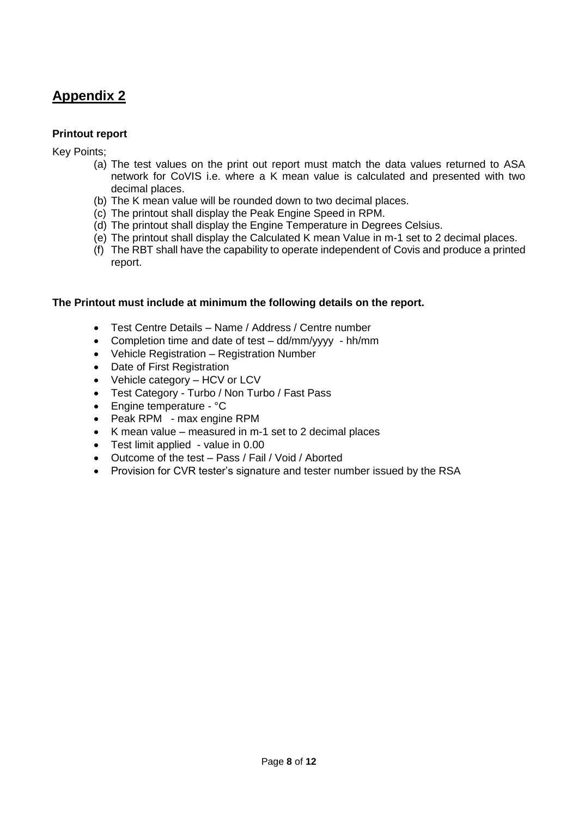# **Appendix 2**

### **Printout report**

Key Points;

- (a) The test values on the print out report must match the data values returned to ASA network for CoVIS i.e. where a K mean value is calculated and presented with two decimal places.
- (b) The K mean value will be rounded down to two decimal places.
- (c) The printout shall display the Peak Engine Speed in RPM.
- (d) The printout shall display the Engine Temperature in Degrees Celsius.
- (e) The printout shall display the Calculated K mean Value in m-1 set to 2 decimal places.
- (f) The RBT shall have the capability to operate independent of Covis and produce a printed report.

### **The Printout must include at minimum the following details on the report.**

- Test Centre Details Name / Address / Centre number
- Completion time and date of test dd/mm/yyyy hh/mm
- Vehicle Registration Registration Number
- Date of First Registration
- Vehicle category HCV or LCV
- Test Category Turbo / Non Turbo / Fast Pass
- Engine temperature °C
- Peak RPM max engine RPM
- K mean value measured in  $m-1$  set to 2 decimal places
- Test limit applied value in 0.00
- Outcome of the test Pass / Fail / Void / Aborted
- Provision for CVR tester's signature and tester number issued by the RSA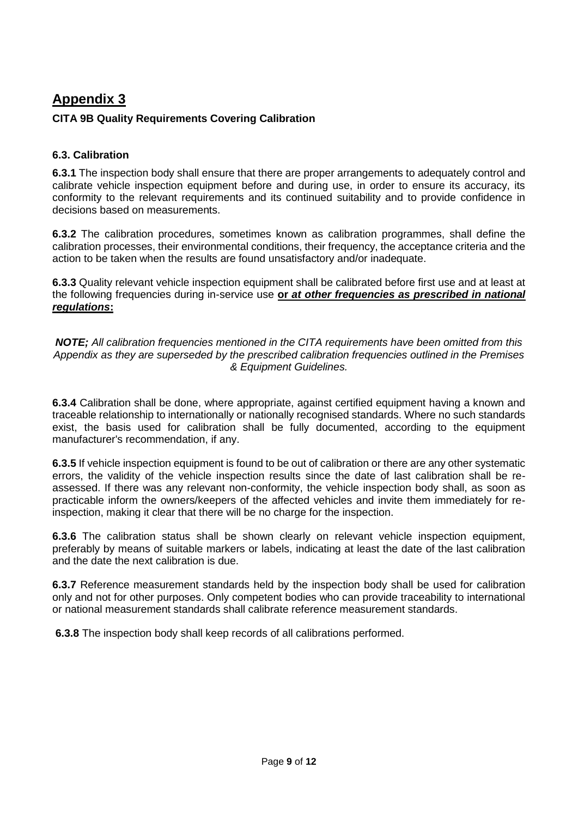# **Appendix 3**

### **CITA 9B Quality Requirements Covering Calibration**

### **6.3. Calibration**

**6.3.1** The inspection body shall ensure that there are proper arrangements to adequately control and calibrate vehicle inspection equipment before and during use, in order to ensure its accuracy, its conformity to the relevant requirements and its continued suitability and to provide confidence in decisions based on measurements.

**6.3.2** The calibration procedures, sometimes known as calibration programmes, shall define the calibration processes, their environmental conditions, their frequency, the acceptance criteria and the action to be taken when the results are found unsatisfactory and/or inadequate.

**6.3.3** Quality relevant vehicle inspection equipment shall be calibrated before first use and at least at the following frequencies during in-service use **or** *at other frequencies as prescribed in national regulations***:**

*NOTE; All calibration frequencies mentioned in the CITA requirements have been omitted from this Appendix as they are superseded by the prescribed calibration frequencies outlined in the Premises & Equipment Guidelines.*

**6.3.4** Calibration shall be done, where appropriate, against certified equipment having a known and traceable relationship to internationally or nationally recognised standards. Where no such standards exist, the basis used for calibration shall be fully documented, according to the equipment manufacturer's recommendation, if any.

**6.3.5** If vehicle inspection equipment is found to be out of calibration or there are any other systematic errors, the validity of the vehicle inspection results since the date of last calibration shall be reassessed. If there was any relevant non-conformity, the vehicle inspection body shall, as soon as practicable inform the owners/keepers of the affected vehicles and invite them immediately for reinspection, making it clear that there will be no charge for the inspection.

**6.3.6** The calibration status shall be shown clearly on relevant vehicle inspection equipment, preferably by means of suitable markers or labels, indicating at least the date of the last calibration and the date the next calibration is due.

**6.3.7** Reference measurement standards held by the inspection body shall be used for calibration only and not for other purposes. Only competent bodies who can provide traceability to international or national measurement standards shall calibrate reference measurement standards.

**6.3.8** The inspection body shall keep records of all calibrations performed.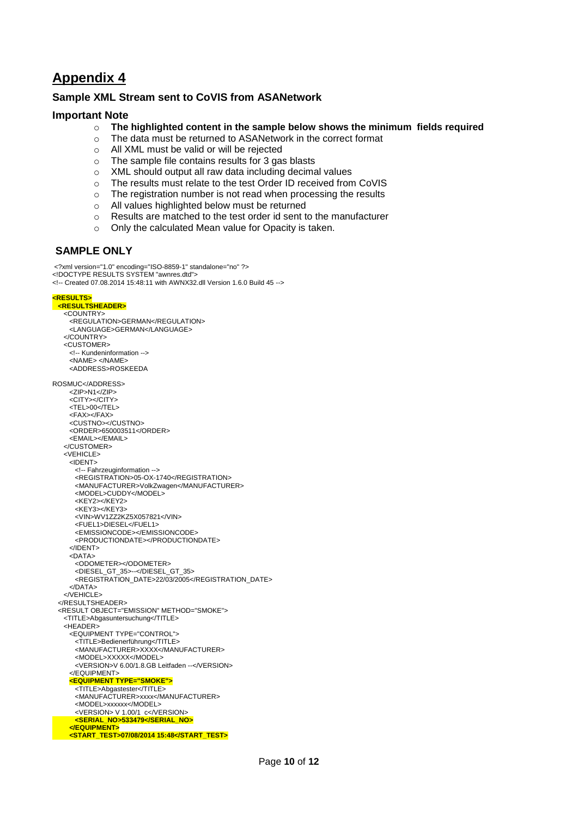# **Appendix 4**

### **Sample XML Stream sent to CoVIS from ASANetwork**

### **Important Note**

- o **The highlighted content in the sample below shows the minimum fields required**
- o The data must be returned to ASANetwork in the correct format
- o All XML must be valid or will be rejected
- o The sample file contains results for 3 gas blasts
- o XML should output all raw data including decimal values
- o The results must relate to the test Order ID received from CoVIS
- o The registration number is not read when processing the results
- o All values highlighted below must be returned
- o Results are matched to the test order id sent to the manufacturer
- o Only the calculated Mean value for Opacity is taken.

### **SAMPLE ONLY**

<?xml version="1.0" encoding="ISO-8859-1" standalone="no" ?> <!DOCTYPE RESULTS SYSTEM "awnres.dtd"> <!-- Created 07.08.2014 15:48:11 with AWNX32.dll Version 1.6.0 Build 45 -->

#### **<RESULTS> <RESULTSHEADER>**

 <COUNTRY> <REGULATION>GERMAN</REGULATION> <LANGUAGE>GERMAN</LANGUAGE> </COUNTRY> <CUSTOMER> <!-- Kundeninformation --> <NAME> </NAME> <ADDRESS>ROSKEEDA ROSMUC</ADDRESS> <ZIP>N1</ZIP> <CITY></CITY>  $<$ TEL $>$ 00 $<$ /TEL $>$  $<$ FAX $>$  $<$ /FAX $>$  <CUSTNO></CUSTNO> <ORDER>650003511</ORDER> <EMAIL></EMAIL> </CUSTOMER> <VEHICLE> <IDENT> <!-- Fahrzeuginformation --> <REGISTRATION>05-OX-1740</REGISTRATION> <MANUFACTURER>VolkZwagen</MANUFACTURER> <MODEL>CUDDY</MODEL> <KEY2></KEY2> <KEY3></KEY3> <VIN>WV1ZZ2KZ5X057821</VIN> <FUEL1>DIESEL</FUEL1> <EMISSIONCODE></EMISSIONCODE> <PRODUCTIONDATE></PRODUCTIONDATE> </IDENT> <DATA> <ODOMETER></ODOMETER> <DIESEL\_GT\_35>--</DIESEL\_GT\_35> <REGISTRATION\_DATE>22/03/2005</REGISTRATION\_DATE>  $c/DATA$  $e$  /  $V$  FHICLES </RESULTSHEADER> <RESULT OBJECT="EMISSION" METHOD="SMOKE"> <TITLE>Abgasuntersuchung</TITLE> <HEADER> <EQUIPMENT TYPE="CONTROL"> <TITLE>Bedienerführung</TITLE> <MANUFACTURER>XXXX</MANUFACTURER> <MODEL>XXXXX</MODEL> <VERSION>V 6.00/1.8.GB Leitfaden --</VERSION> </EQUIPMENT> **<EQUIPMENT TYPE="SMOKE">** <TITLE>Abgastester</TITLE> <MANUFACTURER>xxxx</MANUFACTURER> <MODEL>xxxxxx</MODEL> <VERSION> V 1.00/1 c</VERSION>  **<SERIAL\_NO>533479</SERIAL\_NO> </EQUIPMENT> <START\_TEST>07/08/2014 15:48</START\_TEST>**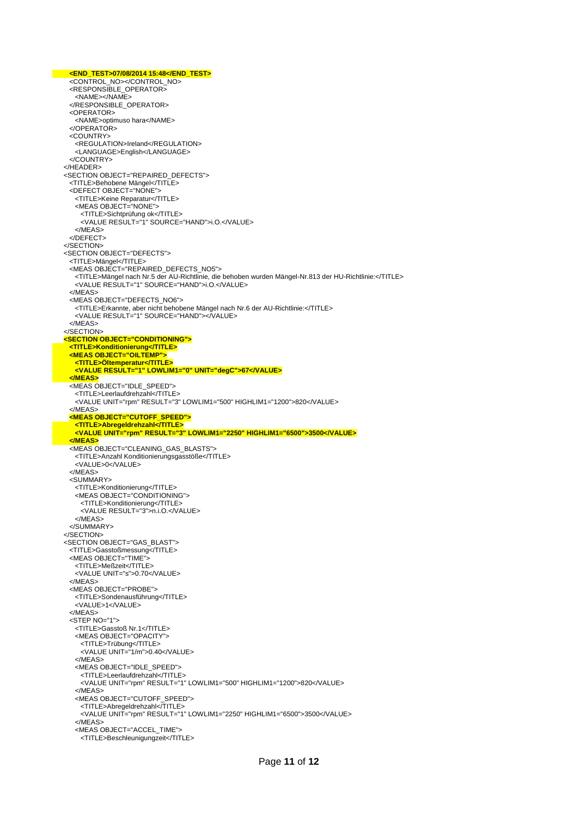**<END\_TEST>07/08/2014 15:48</END\_TEST>** <CONTROL\_NO></CONTROL\_NO> <RESPONSIBLE\_OPERATOR> <NAME></NAME> </RESPONSIBLE\_OPERATOR> <OPERATOR> <NAME>optimuso hara</NAME> </OPERATOR> <COUNTRY> <REGULATION>Ireland</REGULATION> <LANGUAGE>English</LANGUAGE> </COUNTRY> </HEADER> <SECTION OBJECT="REPAIRED\_DEFECTS"> <TITLE>Behobene Mängel</TITLE> <DEFECT OBJECT="NONE"> <TITLE>Keine Reparatur</TITLE> <MEAS OBJECT="NONE"> <TITLE>Sichtprüfung ok</TITLE> <VALUE RESULT="1" SOURCE="HAND">i.O.</VALUE> </MEAS> </DEFECT> </SECTION> <SECTION OBJECT="DEFECTS"> <TITLE>Mängel</TITLE> <MEAS OBJECT="REPAIRED\_DEFECTS\_NO5"> <TITLE>Mängel nach Nr.5 der AU-Richtlinie, die behoben wurden Mängel-Nr.813 der HU-Richtlinie:</TITLE> <VALUE RESULT="1" SOURCE="HAND">i.O.</VALUE> </MEAS> <MEAS OBJECT="DEFECTS\_NO6"> <TITLE>Erkannte, aber nicht behobene Mängel nach Nr.6 der AU-Richtlinie:</TITLE> <VALUE RESULT="1" SOURCE="HAND"></VALUE> </MEAS> </SECTION>  **<SECTION OBJECT="CONDITIONING"> <TITLE>Konditionierung</TITLE> <MEAS OBJECT="OILTEMP"> <TITLE>Öltemperatur</TITLE> <VALUE RESULT="1" LOWLIM1="0" UNIT="degC">67</VALUE> </MEAS>** <MEAS OBJECT="IDLE\_SPEED"> <TITLE>Leerlaufdrehzahl</TITLE> <VALUE UNIT="rpm" RESULT="3" LOWLIM1="500" HIGHLIM1="1200">820</VALUE> </MEAS>  **<MEAS OBJECT="CUTOFF\_SPEED"> <TITLE>Abregeldrehzahl</TITLE> <VALUE UNIT="rpm" RESULT="3" LOWLIM1="2250" HIGHLIM1="6500">3500</VALUE> </MEAS>** <MEAS OBJECT="CLEANING\_GAS\_BLASTS"> <TITLE>Anzahl Konditionierungsgasstöße</TITLE> <VALUE>0</VALUE> </MEAS> <SUMMARY> <TITLE>Konditionierung</TITLE> <MEAS OBJECT="CONDITIONING"> <TITLE>Konditionierung</TITLE> <VALUE RESULT="3">n.i.O.</VALUE>  $\angle$ /MEAS </SUMMARY> </SECTION> <SECTION OBJECT="GAS\_BLAST"> <TITLE>Gasstoßmessung</TITLE> <MEAS OBJECT="TIME" <TITLE>Meßzeit</TITLE> <VALUE UNIT="s">0.70</VALUE> </MEAS> <MEAS OBJECT="PROBE"> <TITLE>Sondenausführung</TITLE> <VALUE>1</VALUE> </MEAS> <STEP NO="1"> <TITLE>Gasstoß Nr.1</TITLE> <MEAS OBJECT="OPACITY"> <TITLE>Trübung</TITLE> <VALUE UNIT="1/m">0.40</VALUE> </MEAS> <MEAS OBJECT="IDLE\_SPEED"> <TITLE>Leerlaufdrehzahl</TITLE> <VALUE UNIT="rpm" RESULT="1" LOWLIM1="500" HIGHLIM1="1200">820</VALUE> </MEAS> <MEAS OBJECT="CUTOFF\_SPEED"> <TITLE>Abregeldrehzahl</TITLE> <VALUE UNIT="rpm" RESULT="1" LOWLIM1="2250" HIGHLIM1="6500">3500</VALUE> </MEAS> <MEAS OBJECT="ACCEL\_TIME"> <TITLE>Beschleunigungzeit</TITLE>